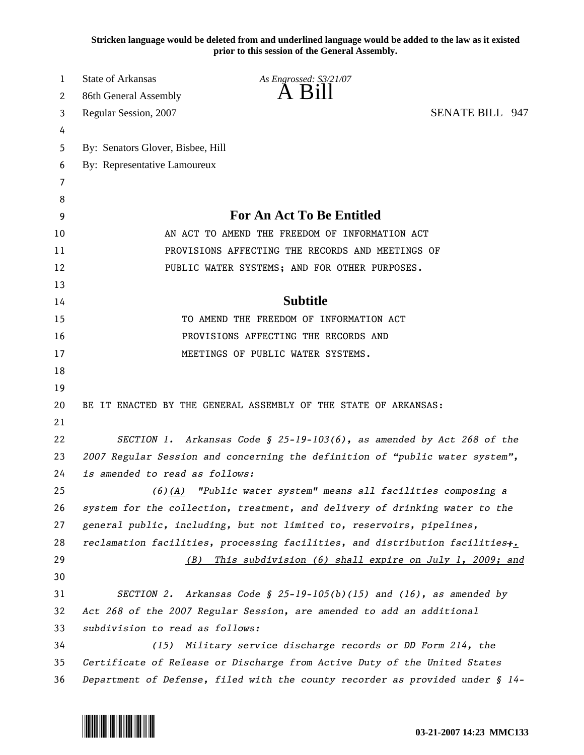**Stricken language would be deleted from and underlined language would be added to the law as it existed prior to this session of the General Assembly.**

| 1  | <b>State of Arkansas</b>          | As Engrossed: S3/21/07                                                        |                        |  |
|----|-----------------------------------|-------------------------------------------------------------------------------|------------------------|--|
| 2  | 86th General Assembly             | A 61                                                                          |                        |  |
| 3  | Regular Session, 2007             |                                                                               | <b>SENATE BILL 947</b> |  |
| 4  |                                   |                                                                               |                        |  |
| 5  | By: Senators Glover, Bisbee, Hill |                                                                               |                        |  |
| 6  | By: Representative Lamoureux      |                                                                               |                        |  |
| 7  |                                   |                                                                               |                        |  |
| 8  |                                   |                                                                               |                        |  |
| 9  |                                   | <b>For An Act To Be Entitled</b>                                              |                        |  |
| 10 |                                   | AN ACT TO AMEND THE FREEDOM OF INFORMATION ACT                                |                        |  |
| 11 |                                   | PROVISIONS AFFECTING THE RECORDS AND MEETINGS OF                              |                        |  |
| 12 |                                   | PUBLIC WATER SYSTEMS; AND FOR OTHER PURPOSES.                                 |                        |  |
| 13 |                                   |                                                                               |                        |  |
| 14 |                                   | <b>Subtitle</b>                                                               |                        |  |
| 15 |                                   | TO AMEND THE FREEDOM OF INFORMATION ACT                                       |                        |  |
| 16 |                                   | PROVISIONS AFFECTING THE RECORDS AND                                          |                        |  |
| 17 |                                   | MEETINGS OF PUBLIC WATER SYSTEMS.                                             |                        |  |
| 18 |                                   |                                                                               |                        |  |
| 19 |                                   |                                                                               |                        |  |
| 20 |                                   | BE IT ENACTED BY THE GENERAL ASSEMBLY OF THE STATE OF ARKANSAS:               |                        |  |
| 21 |                                   |                                                                               |                        |  |
| 22 |                                   | SECTION 1. Arkansas Code § 25-19-103(6), as amended by Act 268 of the         |                        |  |
| 23 |                                   | 2007 Regular Session and concerning the definition of "public water system",  |                        |  |
| 24 | is amended to read as follows:    |                                                                               |                        |  |
| 25 |                                   | $(6)(A)$ "Public water system" means all facilities composing a               |                        |  |
| 26 |                                   | system for the collection, treatment, and delivery of drinking water to the   |                        |  |
| 27 |                                   | general public, including, but not limited to, reservoirs, pipelines,         |                        |  |
| 28 |                                   | reclamation facilities, processing facilities, and distribution facilities;.  |                        |  |
| 29 | (B)                               | This subdivision (6) shall expire on July 1, 2009; and                        |                        |  |
| 30 |                                   |                                                                               |                        |  |
| 31 |                                   | SECTION 2. Arkansas Code § 25-19-105(b)(15) and (16), as amended by           |                        |  |
| 32 |                                   | Act 268 of the 2007 Regular Session, are amended to add an additional         |                        |  |
| 33 | subdivision to read as follows:   |                                                                               |                        |  |
| 34 |                                   | (15) Military service discharge records or DD Form 214, the                   |                        |  |
| 35 |                                   | Certificate of Release or Discharge from Active Duty of the United States     |                        |  |
| 36 |                                   | Department of Defense, filed with the county recorder as provided under § 14- |                        |  |

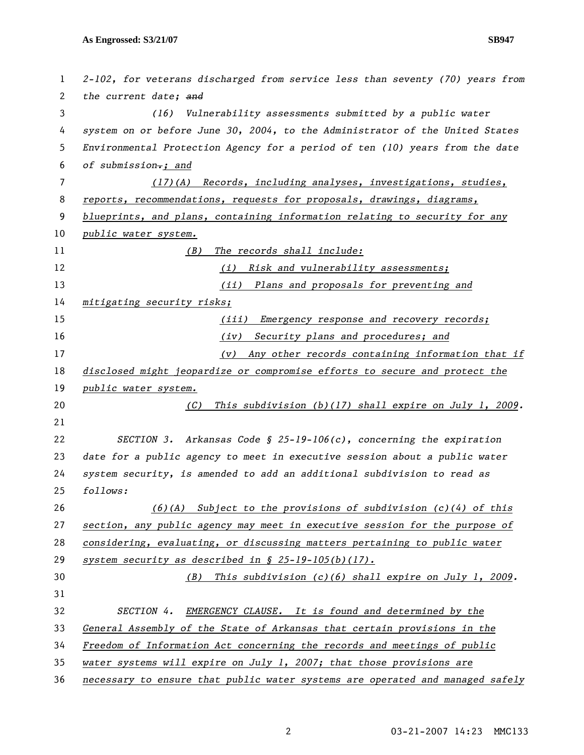| 1  | 2-102, for veterans discharged from service less than seventy (70) years from |  |
|----|-------------------------------------------------------------------------------|--|
| 2  | the current date; and                                                         |  |
| 3  | Vulnerability assessments submitted by a public water<br>(16)                 |  |
| 4  | system on or before June 30, 2004, to the Administrator of the United States  |  |
| 5  | Environmental Protection Agency for a period of ten (10) years from the date  |  |
| 6  | of submission.; and                                                           |  |
| 7  | (17)(A) Records, including analyses, investigations, studies,                 |  |
| 8  | reports, recommendations, requests for proposals, drawings, diagrams,         |  |
| 9  | blueprints, and plans, containing information relating to security for any    |  |
| 10 | public water system.                                                          |  |
| 11 | The records shall include:<br>(B)                                             |  |
| 12 | Risk and vulnerability assessments;<br>(i)                                    |  |
| 13 | (ii) Plans and proposals for preventing and                                   |  |
| 14 | mitigating security risks;                                                    |  |
| 15 | Emergency response and recovery records;<br>(iii)                             |  |
| 16 | Security plans and procedures; and<br>(iv)                                    |  |
| 17 | Any other records containing information that if<br>(v)                       |  |
| 18 | disclosed might jeopardize or compromise efforts to secure and protect the    |  |
| 19 | public water system.                                                          |  |
| 20 | This subdivision $(b)(17)$ shall expire on July 1, 2009.<br>(C)               |  |
| 21 |                                                                               |  |
| 22 | SECTION 3. Arkansas Code § 25-19-106(c), concerning the expiration            |  |
| 23 | date for a public agency to meet in executive session about a public water    |  |
| 24 | system security, is amended to add an additional subdivision to read as       |  |
| 25 | follows:                                                                      |  |
| 26 | $(6)(A)$ Subject to the provisions of subdivision $(c)(4)$ of this            |  |
| 27 | section, any public agency may meet in executive session for the purpose of   |  |
| 28 | considering, evaluating, or discussing matters pertaining to public water     |  |
| 29 | system security as described in $\S$ 25-19-105(b)(17).                        |  |
| 30 | (B) This subdivision (c)(6) shall expire on July 1, 2009.                     |  |
| 31 |                                                                               |  |
| 32 | EMERGENCY CLAUSE. It is found and determined by the<br>SECTION 4.             |  |
| 33 | General Assembly of the State of Arkansas that certain provisions in the      |  |
| 34 | Freedom of Information Act concerning the records and meetings of public      |  |
| 35 | water systems will expire on July 1, 2007; that those provisions are          |  |
| 36 | necessary to ensure that public water systems are operated and managed safely |  |